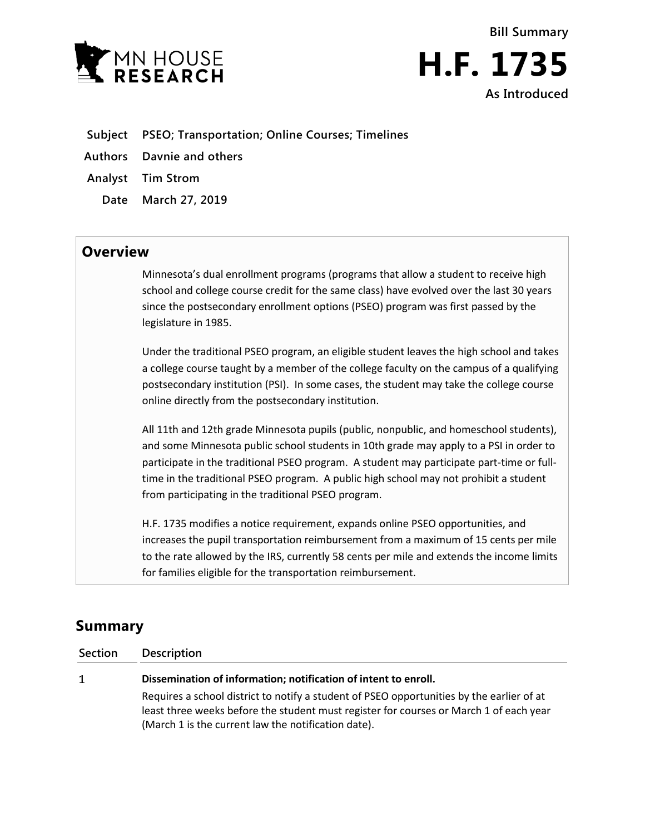



- **Subject PSEO; Transportation; Online Courses; Timelines**
- **Authors Davnie and others**
- **Analyst Tim Strom**
	- **Date March 27, 2019**

## **Overview**

Minnesota's dual enrollment programs (programs that allow a student to receive high school and college course credit for the same class) have evolved over the last 30 years since the postsecondary enrollment options (PSEO) program was first passed by the legislature in 1985.

Under the traditional PSEO program, an eligible student leaves the high school and takes a college course taught by a member of the college faculty on the campus of a qualifying postsecondary institution (PSI). In some cases, the student may take the college course online directly from the postsecondary institution.

All 11th and 12th grade Minnesota pupils (public, nonpublic, and homeschool students), and some Minnesota public school students in 10th grade may apply to a PSI in order to participate in the traditional PSEO program. A student may participate part-time or fulltime in the traditional PSEO program. A public high school may not prohibit a student from participating in the traditional PSEO program.

H.F. 1735 modifies a notice requirement, expands online PSEO opportunities, and increases the pupil transportation reimbursement from a maximum of 15 cents per mile to the rate allowed by the IRS, currently 58 cents per mile and extends the income limits for families eligible for the transportation reimbursement.

# **Summary**

| Section | Description                                                                                                                                                                                                                                |
|---------|--------------------------------------------------------------------------------------------------------------------------------------------------------------------------------------------------------------------------------------------|
| 1       | Dissemination of information; notification of intent to enroll.                                                                                                                                                                            |
|         | Requires a school district to notify a student of PSEO opportunities by the earlier of at<br>least three weeks before the student must register for courses or March 1 of each year<br>(March 1 is the current law the notification date). |